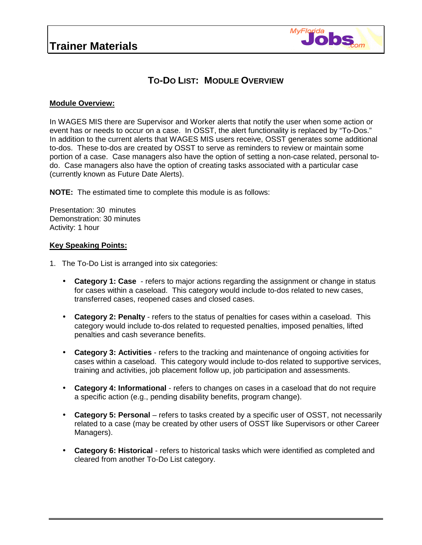

### **TO-DO LIST: MODULE OVERVIEW**

### **Module Overview:**

In WAGES MIS there are Supervisor and Worker alerts that notify the user when some action or event has or needs to occur on a case. In OSST, the alert functionality is replaced by "To-Dos." In addition to the current alerts that WAGES MIS users receive, OSST generates some additional to-dos. These to-dos are created by OSST to serve as reminders to review or maintain some portion of a case. Case managers also have the option of setting a non-case related, personal todo. Case managers also have the option of creating tasks associated with a particular case (currently known as Future Date Alerts).

**NOTE:** The estimated time to complete this module is as follows:

Presentation: 30 minutes Demonstration: 30 minutes Activity: 1 hour

#### **Key Speaking Points:**

- 1. The To-Do List is arranged into six categories:
	- **Category 1: Case**  refers to major actions regarding the assignment or change in status for cases within a caseload. This category would include to-dos related to new cases, transferred cases, reopened cases and closed cases.
	- **Category 2: Penalty** refers to the status of penalties for cases within a caseload. This category would include to-dos related to requested penalties, imposed penalties, lifted penalties and cash severance benefits.
	- **Category 3: Activities** refers to the tracking and maintenance of ongoing activities for cases within a caseload. This category would include to-dos related to supportive services, training and activities, job placement follow up, job participation and assessments.
	- **Category 4: Informational** refers to changes on cases in a caseload that do not require a specific action (e.g., pending disability benefits, program change).
	- **Category 5: Personal** refers to tasks created by a specific user of OSST, not necessarily related to a case (may be created by other users of OSST like Supervisors or other Career Managers).
	- **Category 6: Historical** refers to historical tasks which were identified as completed and cleared from another To-Do List category.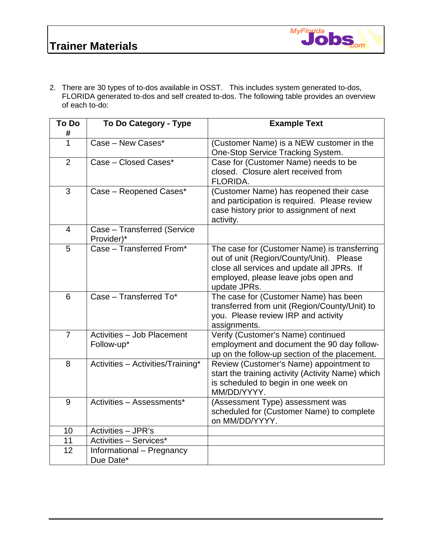



2. There are 30 types of to-dos available in OSST. This includes system generated to-dos, FLORIDA generated to-dos and self created to-dos. The following table provides an overview of each to-do:

| <b>To Do</b><br># | To Do Category - Type                     | <b>Example Text</b>                                                                                                                                                                            |
|-------------------|-------------------------------------------|------------------------------------------------------------------------------------------------------------------------------------------------------------------------------------------------|
| 1                 | Case - New Cases*                         | (Customer Name) is a NEW customer in the<br>One-Stop Service Tracking System.                                                                                                                  |
| $\overline{2}$    | Case - Closed Cases*                      | Case for (Customer Name) needs to be<br>closed. Closure alert received from<br>FLORIDA.                                                                                                        |
| 3                 | Case - Reopened Cases*                    | (Customer Name) has reopened their case<br>and participation is required. Please review<br>case history prior to assignment of next<br>activity.                                               |
| $\overline{4}$    | Case - Transferred (Service<br>Provider)* |                                                                                                                                                                                                |
| 5                 | Case - Transferred From*                  | The case for (Customer Name) is transferring<br>out of unit (Region/County/Unit). Please<br>close all services and update all JPRs. If<br>employed, please leave jobs open and<br>update JPRs. |
| 6                 | Case - Transferred To*                    | The case for (Customer Name) has been<br>transferred from unit (Region/County/Unit) to<br>you. Please review IRP and activity<br>assignments.                                                  |
| $\overline{7}$    | Activities - Job Placement<br>Follow-up*  | Verify (Customer's Name) continued<br>employment and document the 90 day follow-<br>up on the follow-up section of the placement.                                                              |
| 8                 | Activities - Activities/Training*         | Review (Customer's Name) appointment to<br>start the training activity (Activity Name) which<br>is scheduled to begin in one week on<br>MM/DD/YYYY.                                            |
| 9                 | Activities - Assessments*                 | (Assessment Type) assessment was<br>scheduled for (Customer Name) to complete<br>on MM/DD/YYYY.                                                                                                |
| 10                | Activities - JPR's                        |                                                                                                                                                                                                |
| 11                | Activities - Services*                    |                                                                                                                                                                                                |
| 12                | Informational - Pregnancy<br>Due Date*    |                                                                                                                                                                                                |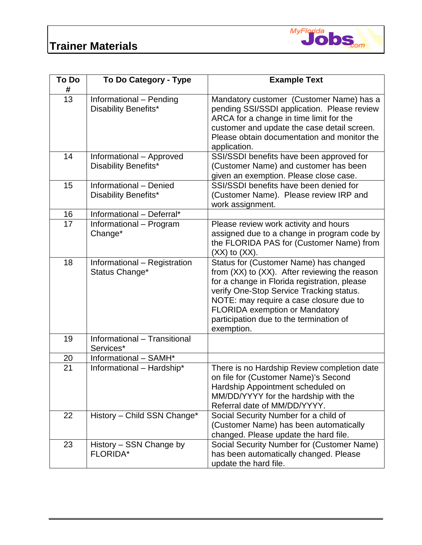# **Trainer Materials**



| <b>To Do</b><br># | To Do Category - Type                            | <b>Example Text</b>                                                                                                                                                                                                                                                                                                              |
|-------------------|--------------------------------------------------|----------------------------------------------------------------------------------------------------------------------------------------------------------------------------------------------------------------------------------------------------------------------------------------------------------------------------------|
| 13                | Informational - Pending<br>Disability Benefits*  | Mandatory customer (Customer Name) has a<br>pending SSI/SSDI application. Please review<br>ARCA for a change in time limit for the<br>customer and update the case detail screen.<br>Please obtain documentation and monitor the<br>application.                                                                                 |
| 14                | Informational - Approved<br>Disability Benefits* | SSI/SSDI benefits have been approved for<br>(Customer Name) and customer has been<br>given an exemption. Please close case.                                                                                                                                                                                                      |
| 15                | Informational - Denied<br>Disability Benefits*   | SSI/SSDI benefits have been denied for<br>(Customer Name). Please review IRP and<br>work assignment.                                                                                                                                                                                                                             |
| 16                | Informational - Deferral*                        |                                                                                                                                                                                                                                                                                                                                  |
| 17                | Informational - Program<br>Change*               | Please review work activity and hours<br>assigned due to a change in program code by<br>the FLORIDA PAS for (Customer Name) from<br>$(XX)$ to $(XX)$ .                                                                                                                                                                           |
| 18                | Informational - Registration<br>Status Change*   | Status for (Customer Name) has changed<br>from (XX) to (XX). After reviewing the reason<br>for a change in Florida registration, please<br>verify One-Stop Service Tracking status.<br>NOTE: may require a case closure due to<br><b>FLORIDA exemption or Mandatory</b><br>participation due to the termination of<br>exemption. |
| 19                | Informational - Transitional<br>Services*        |                                                                                                                                                                                                                                                                                                                                  |
| 20                | Informational - SAMH*                            |                                                                                                                                                                                                                                                                                                                                  |
| 21                | Informational - Hardship*                        | There is no Hardship Review completion date<br>on file for (Customer Name)'s Second<br>Hardship Appointment scheduled on<br>MM/DD/YYYY for the hardship with the<br>Referral date of MM/DD/YYYY.                                                                                                                                 |
| 22                | History - Child SSN Change*                      | Social Security Number for a child of<br>(Customer Name) has been automatically<br>changed. Please update the hard file.                                                                                                                                                                                                         |
| 23                | History – SSN Change by<br><b>FLORIDA*</b>       | Social Security Number for (Customer Name)<br>has been automatically changed. Please<br>update the hard file.                                                                                                                                                                                                                    |